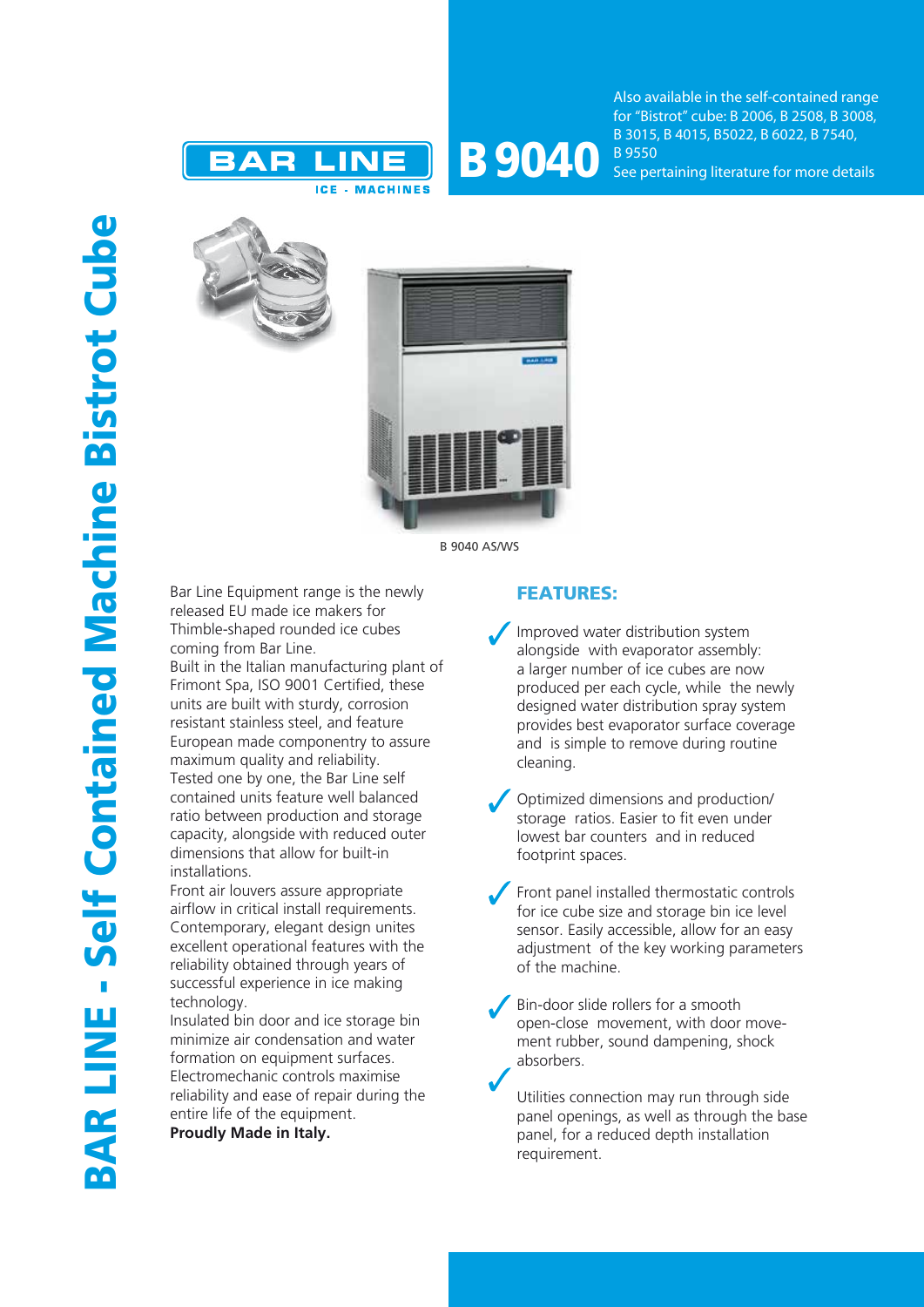



Also available in the self-contained range for "Bistrot" cube: B 2006, B 2508, B 3008, B 3015, B 4015, B5022, B 6022, B 7540, B 9550 See pertaining literature for more details





B 9040 AS/WS

Bar Line Equipment range is the newly released EU made ice makers for Thimble-shaped rounded ice cubes coming from Bar Line.

Built in the Italian manufacturing plant of Frimont Spa, ISO 9001 Certified, these units are built with sturdy, corrosion resistant stainless steel, and feature European made componentry to assure maximum quality and reliability. Tested one by one, the Bar Line self contained units feature well balanced ratio between production and storage capacity, alongside with reduced outer dimensions that allow for built-in installations.

Front air louvers assure appropriate airflow in critical install requirements. Contemporary, elegant design unites excellent operational features with the reliability obtained through years of successful experience in ice making technology.

Insulated bin door and ice storage bin minimize air condensation and water formation on equipment surfaces. Electromechanic controls maximise reliability and ease of repair during the entire life of the equipment.

**Proudly Made in Italy.**

## FEATURES:

Improved water distribution system alongside with evaporator assembly: a larger number of ice cubes are now produced per each cycle, while the newly designed water distribution spray system provides best evaporator surface coverage and is simple to remove during routine cleaning.

Optimized dimensions and production/ storage ratios. Easier to fit even under lowest bar counters and in reduced footprint spaces.

Front panel installed thermostatic controls for ice cube size and storage bin ice level sensor. Easily accessible, allow for an easy adjustment of the key working parameters of the machine.

Bin-door slide rollers for a smooth open-close movement, with door movement rubber, sound dampening, shock absorbers.

Utilities connection may run through side panel openings, as well as through the base panel, for a reduced depth installation requirement.